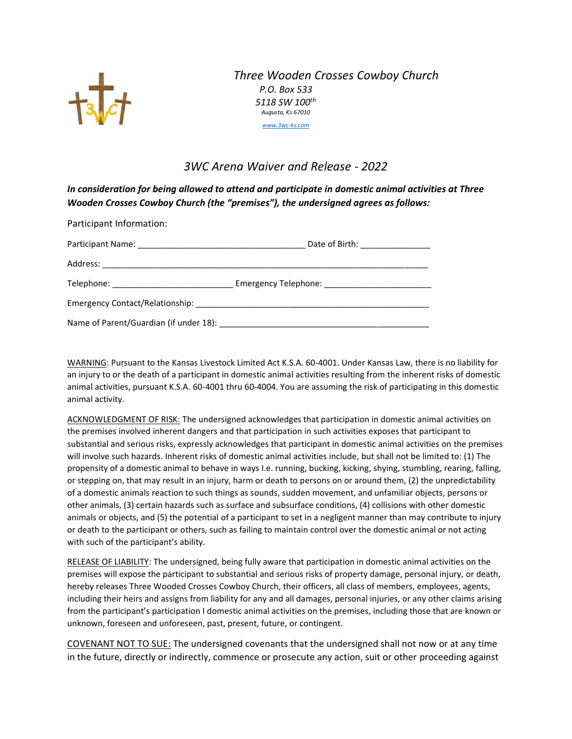

## *Three Wooden Crosses Cowboy Church P.O. Box 533 5118 SW 100th Augusta, Ks 67010 [www.3wc-ks.com](http://www.3wc-ks.com/)*

## *3WC Arena Waiver and Release - 2022*

*In consideration for being allowed to attend and participate in domestic animal activities at Three Wooden Crosses Cowboy Church (the "premises"), the undersigned agrees as follows:*

| Participant Information: |  |
|--------------------------|--|
|                          |  |
|                          |  |
|                          |  |
|                          |  |
|                          |  |

WARNING: Pursuant to the Kansas Livestock Limited Act K.S.A. 60-4001. Under Kansas Law, there is no liability for an injury to or the death of a participant in domestic animal activities resulting from the inherent risks of domestic animal activities, pursuant K.S.A. 60-4001 thru 60-4004. You are assuming the risk of participating in this domestic animal activity.

ACKNOWLEDGMENT OF RISK: The undersigned acknowledges that participation in domestic animal activities on the premises involved inherent dangers and that participation in such activities exposes that participant to substantial and serious risks, expressly acknowledges that participant in domestic animal activities on the premises will involve such hazards. Inherent risks of domestic animal activities include, but shall not be limited to: (1) The propensity of a domestic animal to behave in ways I.e. running, bucking, kicking, shying, stumbling, rearing, falling, or stepping on, that may result in an injury, harm or death to persons on or around them, (2) the unpredictability of a domestic animals reaction to such things as sounds, sudden movement, and unfamiliar objects, persons or other animals, (3) certain hazards such as surface and subsurface conditions, (4) collisions with other domestic animals or objects, and (5) the potential of a participant to set in a negligent manner than may contribute to injury or death to the participant or others, such as failing to maintain control over the domestic animal or not acting with such of the participant's ability.

RELEASE OF LIABILITY: The undersigned, being fully aware that participation in domestic animal activities on the premises will expose the participant to substantial and serious risks of property damage, personal injury, or death, hereby releases Three Wooded Crosses Cowboy Church, their officers, all class of members, employees, agents, including their heirs and assigns from liability for any and all damages, personal injuries, or any other claims arising from the participant's participation I domestic animal activities on the premises, including those that are known or unknown, foreseen and unforeseen, past, present, future, or contingent.

COVENANT NOT TO SUE: The undersigned covenants that the undersigned shall not now or at any time in the future, directly or indirectly, commence or prosecute any action, suit or other proceeding against